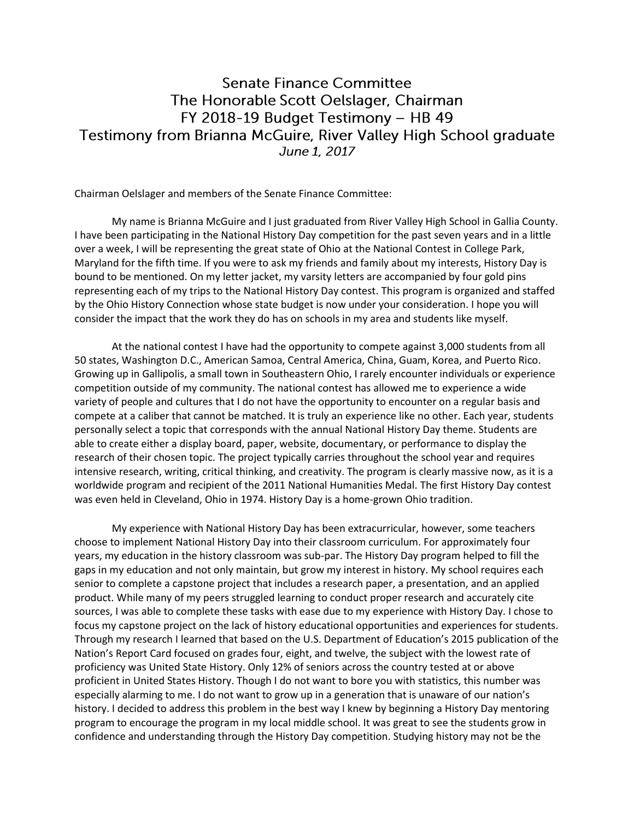## **Senate Finance Committee** The Honorable Scott Oelslager, Chairman FY 2018-19 Budget Testimony - HB 49 Testimony from Brianna McGuire, River Valley High School graduate June 1, 2017

Chairman Oelslager and members of the Senate Finance Committee:

My name is Brianna McGuire and I just graduated from River Valley High School in Gallia County. I have been participating in the National History Day competition for the past seven years and in a little over a week, I will be representing the great state of Ohio at the National Contest in College Park, Maryland for the fifth time. If you were to ask my friends and family about my interests, History Day is bound to be mentioned. On my letter jacket, my varsity letters are accompanied by four gold pins representing each of my trips to the National History Day contest. This program is organized and staffed by the Ohio History Connection whose state budget is now under your consideration. I hope you will consider the impact that the work they do has on schools in my area and students like myself.

At the national contest I have had the opportunity to compete against 3,000 students from all 50 states, Washington D.C., American Samoa, Central America, China, Guam, Korea, and Puerto Rico. Growing up in Gallipolis, a small town in Southeastern Ohio, I rarely encounter individuals or experience competition outside of my community. The national contest has allowed me to experience a wide variety of people and cultures that I do not have the opportunity to encounter on a regular basis and compete at a caliber that cannot be matched. It is truly an experience like no other. Each year, students personally select a topic that corresponds with the annual National History Day theme. Students are able to create either a display board, paper, website, documentary, or performance to display the research of their chosen topic. The project typically carries throughout the school year and requires intensive research, writing, critical thinking, and creativity. The program is clearly massive now, as it is a worldwide program and recipient of the 2011 National Humanities Medal. The first History Day contest was even held in Cleveland, Ohio in 1974. History Day is a home-grown Ohio tradition.

My experience with National History Day has been extracurricular, however, some teachers choose to implement National History Day into their classroom curriculum. For approximately four years, my education in the history classroom was sub-par. The History Day program helped to fill the gaps in my education and not only maintain, but grow my interest in history. My school requires each senior to complete a capstone project that includes a research paper, a presentation, and an applied product. While many of my peers struggled learning to conduct proper research and accurately cite sources, I was able to complete these tasks with ease due to my experience with History Day. I chose to focus my capstone project on the lack of history educational opportunities and experiences for students. Through my research I learned that based on the U.S. Department of Education's 2015 publication of the Nation's Report Card focused on grades four, eight, and twelve, the subject with the lowest rate of proficiency was United State History. Only 12% of seniors across the country tested at or above proficient in United States History. Though I do not want to bore you with statistics, this number was especially alarming to me. I do not want to grow up in a generation that is unaware of our nation's history. I decided to address this problem in the best way I knew by beginning a History Day mentoring program to encourage the program in my local middle school. It was great to see the students grow in confidence and understanding through the History Day competition. Studying history may not be the